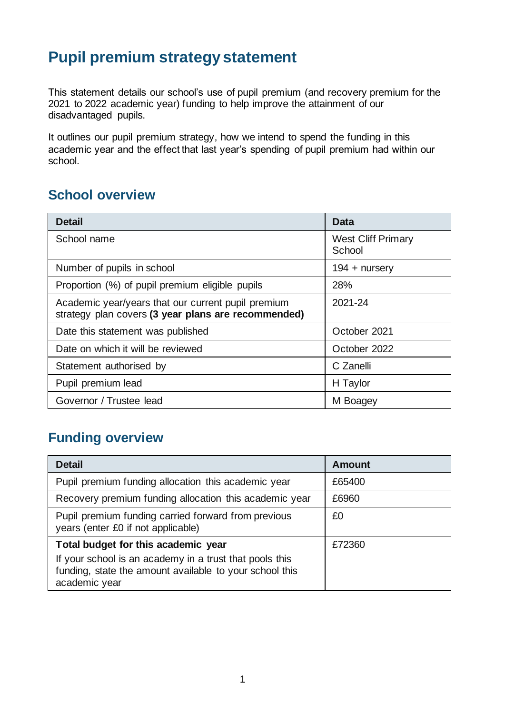# **Pupil premium strategy statement**

This statement details our school's use of pupil premium (and recovery premium for the 2021 to 2022 academic year) funding to help improve the attainment of our disadvantaged pupils.

It outlines our pupil premium strategy, how we intend to spend the funding in this academic year and the effect that last year's spending of pupil premium had within our school.

### **School overview**

| <b>Detail</b>                                                                                             | <b>Data</b>                         |
|-----------------------------------------------------------------------------------------------------------|-------------------------------------|
| School name                                                                                               | <b>West Cliff Primary</b><br>School |
| Number of pupils in school                                                                                | $194 +$ nursery                     |
| Proportion (%) of pupil premium eligible pupils                                                           | 28%                                 |
| Academic year/years that our current pupil premium<br>strategy plan covers (3 year plans are recommended) | 2021-24                             |
| Date this statement was published                                                                         | October 2021                        |
| Date on which it will be reviewed                                                                         | October 2022                        |
| Statement authorised by                                                                                   | C Zanelli                           |
| Pupil premium lead                                                                                        | H Taylor                            |
| Governor / Trustee lead                                                                                   | M Boagey                            |

### **Funding overview**

| <b>Detail</b>                                                                                                                                                              | <b>Amount</b> |
|----------------------------------------------------------------------------------------------------------------------------------------------------------------------------|---------------|
| Pupil premium funding allocation this academic year                                                                                                                        | £65400        |
| Recovery premium funding allocation this academic year                                                                                                                     | £6960         |
| Pupil premium funding carried forward from previous<br>years (enter £0 if not applicable)                                                                                  | £0            |
| Total budget for this academic year<br>If your school is an academy in a trust that pools this<br>funding, state the amount available to your school this<br>academic year | £72360        |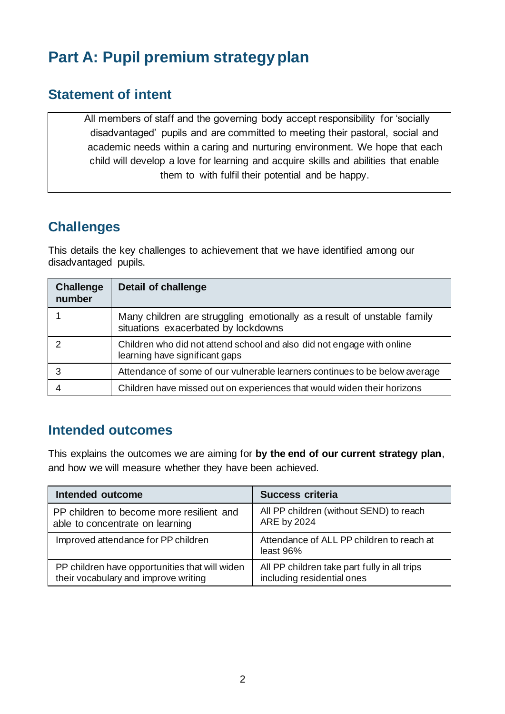# **Part A: Pupil premium strategy plan**

#### **Statement of intent**

All members of staff and the governing body accept responsibility for 'socially disadvantaged' pupils and are committed to meeting their pastoral, social and academic needs within a caring and nurturing environment. We hope that each child will develop a love for learning and acquire skills and abilities that enable them to with fulfil their potential and be happy.

### **Challenges**

This details the key challenges to achievement that we have identified among our disadvantaged pupils.

| <b>Challenge</b><br>number | Detail of challenge                                                                                            |  |
|----------------------------|----------------------------------------------------------------------------------------------------------------|--|
|                            | Many children are struggling emotionally as a result of unstable family<br>situations exacerbated by lockdowns |  |
|                            | Children who did not attend school and also did not engage with online<br>learning have significant gaps       |  |
| 3                          | Attendance of some of our vulnerable learners continues to be below average                                    |  |
|                            | Children have missed out on experiences that would widen their horizons                                        |  |

### **Intended outcomes**

This explains the outcomes we are aiming for **by the end of our current strategy plan**, and how we will measure whether they have been achieved.

| Intended outcome                               | <b>Success criteria</b>                                |
|------------------------------------------------|--------------------------------------------------------|
| PP children to become more resilient and       | All PP children (without SEND) to reach                |
| able to concentrate on learning                | ARE by 2024                                            |
| Improved attendance for PP children            | Attendance of ALL PP children to reach at<br>least 96% |
| PP children have opportunities that will widen | All PP children take part fully in all trips           |
| their vocabulary and improve writing           | including residential ones                             |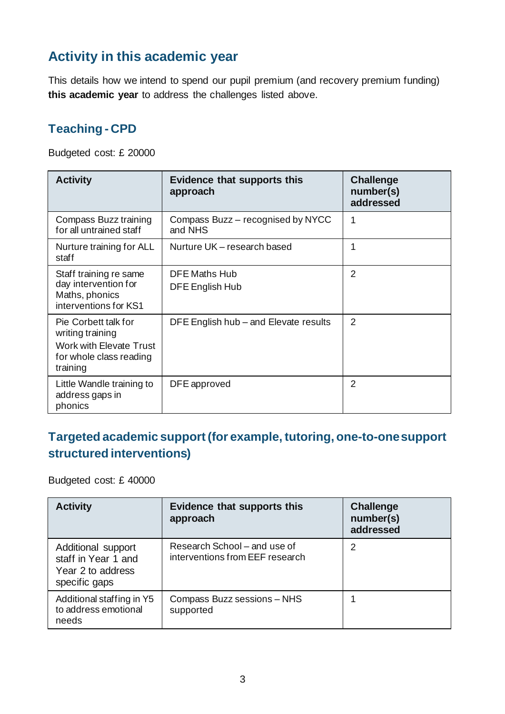### **Activity in this academic year**

This details how we intend to spend our pupil premium (and recovery premium funding) **this academic year** to address the challenges listed above.

### **Teaching - CPD**

Budgeted cost: £ 20000

| <b>Activity</b>                                                                                            | <b>Evidence that supports this</b><br>approach | <b>Challenge</b><br>number(s)<br>addressed |
|------------------------------------------------------------------------------------------------------------|------------------------------------------------|--------------------------------------------|
| Compass Buzz training<br>for all untrained staff                                                           | Compass Buzz - recognised by NYCC<br>and NHS   | 1                                          |
| Nurture training for ALL<br>staff                                                                          | Nurture UK - research based                    | 1                                          |
| Staff training re same<br>day intervention for<br>Maths, phonics<br>interventions for KS1                  | <b>DFE Maths Hub</b><br>DFE English Hub        | $\overline{2}$                             |
| Pie Corbett talk for<br>writing training<br>Work with Elevate Trust<br>for whole class reading<br>training | DFE English hub – and Elevate results          | $\mathcal{P}$                              |
| Little Wandle training to<br>address gaps in<br>phonics                                                    | DFE approved                                   | 2                                          |

### **Targeted academic support (for example, tutoring, one-to-one support structured interventions)**

Budgeted cost: £ 40000

| <b>Activity</b>                                                                 | <b>Evidence that supports this</b><br>approach                  | <b>Challenge</b><br>number(s)<br>addressed |
|---------------------------------------------------------------------------------|-----------------------------------------------------------------|--------------------------------------------|
| Additional support<br>staff in Year 1 and<br>Year 2 to address<br>specific gaps | Research School – and use of<br>interventions from EEF research | 2                                          |
| Additional staffing in Y5<br>to address emotional<br>needs                      | Compass Buzz sessions - NHS<br>supported                        |                                            |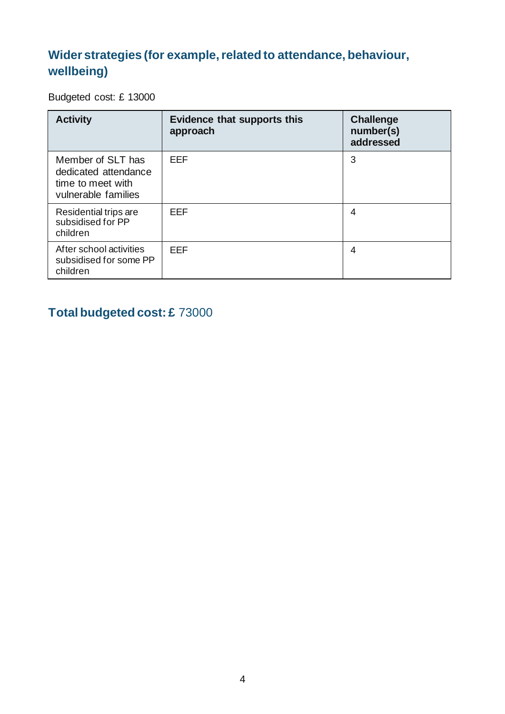### **Wider strategies (for example, related to attendance, behaviour, wellbeing)**

Budgeted cost: £ 13000

| <b>Activity</b>                                                                       | <b>Evidence that supports this</b><br>approach | <b>Challenge</b><br>number(s)<br>addressed |
|---------------------------------------------------------------------------------------|------------------------------------------------|--------------------------------------------|
| Member of SLT has<br>dedicated attendance<br>time to meet with<br>vulnerable families | <b>EEF</b>                                     | 3                                          |
| Residential trips are<br>subsidised for PP<br>children                                | <b>EEF</b>                                     | 4                                          |
| After school activities<br>subsidised for some PP<br>children                         | <b>EEF</b>                                     | 4                                          |

### **Total budgeted cost: £** 73000